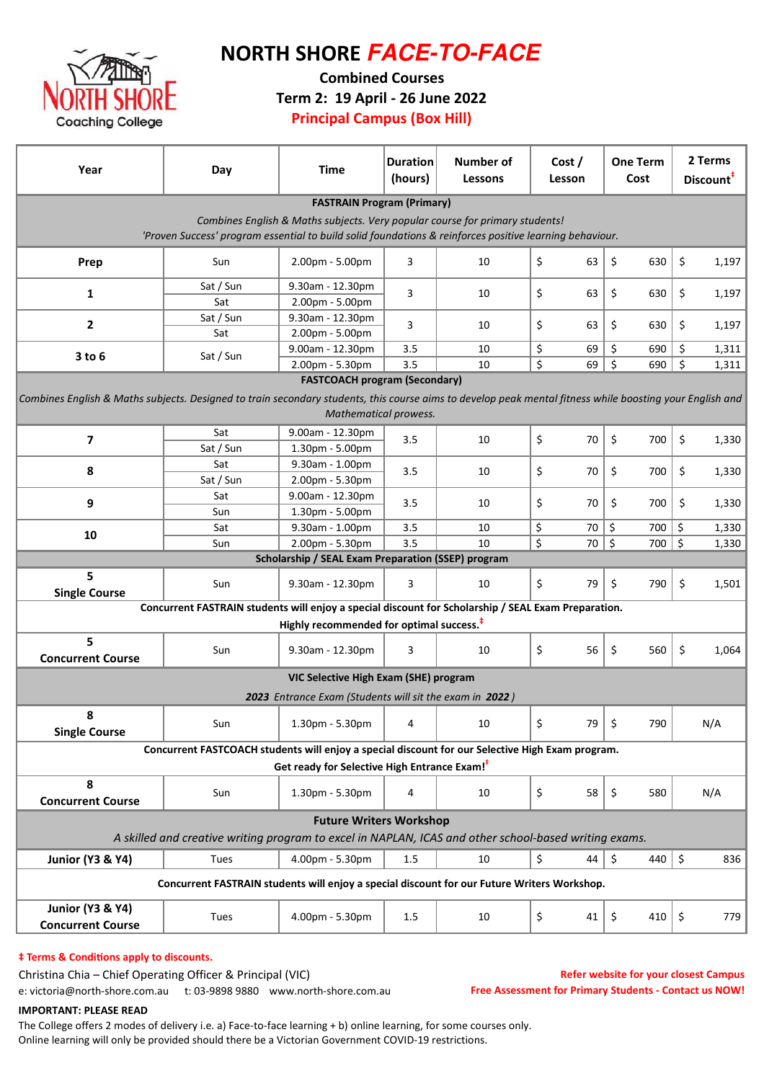

# NORTH SHORE **FACE-TO-FACE**

Combined Courses

Term 2: 19 April - 26 June 2022

Principal Campus (Box Hill)

| Year                                                                                                                                                                              | Day                                        | Time                | <b>Duration</b><br>(hours) | <b>Number of</b><br>Lessons | Cost /<br>Lesson | <b>One Term</b><br>Cost | 2 Terms<br>Discount <sup>#</sup> |  |  |  |
|-----------------------------------------------------------------------------------------------------------------------------------------------------------------------------------|--------------------------------------------|---------------------|----------------------------|-----------------------------|------------------|-------------------------|----------------------------------|--|--|--|
| <b>FASTRAIN Program (Primary)</b>                                                                                                                                                 |                                            |                     |                            |                             |                  |                         |                                  |  |  |  |
| Combines English & Maths subjects. Very popular course for primary students!                                                                                                      |                                            |                     |                            |                             |                  |                         |                                  |  |  |  |
| 'Proven Success' program essential to build solid foundations & reinforces positive learning behaviour.                                                                           |                                            |                     |                            |                             |                  |                         |                                  |  |  |  |
| Prep                                                                                                                                                                              | Sun                                        | 2.00pm - 5.00pm     | 3                          | 10                          | \$<br>63         | \$<br>630               | \$<br>1,197                      |  |  |  |
|                                                                                                                                                                                   | Sat / Sun                                  | 9.30am - 12.30pm    | 3                          |                             | 63               |                         |                                  |  |  |  |
| 1                                                                                                                                                                                 | Sat                                        | 2.00pm - 5.00pm     |                            | 10                          | \$               | \$<br>630               | \$<br>1,197                      |  |  |  |
|                                                                                                                                                                                   | Sat / Sun                                  | 9.30am - 12.30pm    | 3                          |                             | 63               |                         |                                  |  |  |  |
| $\mathbf{2}$                                                                                                                                                                      | Sat                                        | 2.00pm - 5.00pm     |                            | 10                          | \$               | \$<br>630               | \$<br>1,197                      |  |  |  |
|                                                                                                                                                                                   |                                            | 9.00am - 12.30pm    | 3.5                        | 10                          | \$<br>69         | \$<br>690               | \$<br>1,311                      |  |  |  |
|                                                                                                                                                                                   | $3$ to $6$<br>Sat / Sun<br>2.00pm - 5.30pm |                     | 3.5                        | 10                          | \$<br>69         | $\zeta$<br>690          | $\zeta$<br>1,311                 |  |  |  |
| <b>FASTCOACH program (Secondary)</b>                                                                                                                                              |                                            |                     |                            |                             |                  |                         |                                  |  |  |  |
| Combines English & Maths subjects. Designed to train secondary students, this course aims to develop peak mental fitness while boosting your English and<br>Mathematical prowess. |                                            |                     |                            |                             |                  |                         |                                  |  |  |  |
|                                                                                                                                                                                   | Sat                                        | 9.00am - 12.30pm    |                            |                             |                  |                         |                                  |  |  |  |
| 7                                                                                                                                                                                 | Sat / Sun                                  | 1.30pm - 5.00pm     | 3.5                        | 10                          | \$<br>70         | \$<br>700               | \$<br>1,330                      |  |  |  |
|                                                                                                                                                                                   | Sat                                        | 9.30am - 1.00pm     |                            |                             |                  |                         |                                  |  |  |  |
| 8                                                                                                                                                                                 | Sat / Sun                                  | 2.00pm - 5.30pm     | 3.5                        | 10                          | \$.<br>70        | \$<br>700               | \$<br>1,330                      |  |  |  |
|                                                                                                                                                                                   | Sat                                        | 9.00am - 12.30pm    |                            |                             |                  |                         |                                  |  |  |  |
| 9                                                                                                                                                                                 |                                            |                     | 3.5                        | 10                          | \$<br>70         | \$<br>700               | \$<br>1,330                      |  |  |  |
|                                                                                                                                                                                   | Sun                                        | 1.30pm - 5.00pm     | 3.5                        | 10                          | \$<br>70         | \$<br>700               | \$                               |  |  |  |
| 10                                                                                                                                                                                | 9.30am - 1.00pm<br>Sat                     |                     |                            |                             | \$<br>70 5       | $700  $ \$              | 1,330                            |  |  |  |
|                                                                                                                                                                                   | Sun                                        | 2.00pm - 5.30pm     | 3.5                        | 10                          |                  |                         | 1,330                            |  |  |  |
| <b>Scholarship / SEAL Exam Preparation (SSEP) program</b>                                                                                                                         |                                            |                     |                            |                             |                  |                         |                                  |  |  |  |
| 5<br><b>Single Course</b>                                                                                                                                                         | Sun                                        | $9.30$ am - 12.30pm | 3                          | 10                          | \$<br>79         | \$<br>790               | $\zeta$<br>1,501                 |  |  |  |
| Concurrent FASTRAIN students will enjoy a special discount for Scholarship / SEAL Exam Preparation.                                                                               |                                            |                     |                            |                             |                  |                         |                                  |  |  |  |
| Highly recommended for optimal success. <sup>#</sup>                                                                                                                              |                                            |                     |                            |                             |                  |                         |                                  |  |  |  |
| 5<br><b>Concurrent Course</b>                                                                                                                                                     | Sun                                        | 9.30am - 12.30pm    | 3                          | 10                          | \$<br>56         | \$<br>560               | \$<br>1,064                      |  |  |  |
| VIC Selective High Exam (SHE) program                                                                                                                                             |                                            |                     |                            |                             |                  |                         |                                  |  |  |  |
| 2023 Entrance Exam (Students will sit the exam in 2022)                                                                                                                           |                                            |                     |                            |                             |                  |                         |                                  |  |  |  |
| 8<br><b>Single Course</b>                                                                                                                                                         | Sun                                        | 1.30pm - 5.30pm     | 4                          | 10                          | \$<br>$79$ \$    | 790                     | N/A                              |  |  |  |
|                                                                                                                                                                                   |                                            |                     |                            |                             |                  |                         |                                  |  |  |  |
| Concurrent FASTCOACH students will enjoy a special discount for our Selective High Exam program.<br>Get ready for Selective High Entrance Exam! <sup>+</sup>                      |                                            |                     |                            |                             |                  |                         |                                  |  |  |  |
| 8<br><b>Concurrent Course</b>                                                                                                                                                     | Sun                                        | 1.30pm - 5.30pm     | 4                          | 10                          | \$<br>58         | \$<br>580               | N/A                              |  |  |  |
| <b>Future Writers Workshop</b><br>A skilled and creative writing program to excel in NAPLAN, ICAS and other school-based writing exams.                                           |                                            |                     |                            |                             |                  |                         |                                  |  |  |  |
|                                                                                                                                                                                   |                                            |                     |                            |                             |                  |                         |                                  |  |  |  |
| <b>Junior (Y3 &amp; Y4)</b>                                                                                                                                                       | Tues                                       | 4.00pm - 5.30pm     | 1.5                        | 10                          | \$<br>44         | $\zeta$<br>440          | $\zeta$<br>836                   |  |  |  |
| Concurrent FASTRAIN students will enjoy a special discount for our Future Writers Workshop.                                                                                       |                                            |                     |                            |                             |                  |                         |                                  |  |  |  |
| <b>Junior (Y3 &amp; Y4)</b><br><b>Concurrent Course</b>                                                                                                                           | Tues                                       | 4.00pm - 5.30pm     | 1.5                        | 10                          | \$<br>41         | $\zeta$<br>410          | \$<br>779                        |  |  |  |

### $†$  Terms & Conditions apply to discounts.

Christina Chia – Chief Operating Officer & Principal (VIC)

Refer website for your closest Campus Free Assessment for Primary Students - Contact us NOW!

e: victoria@north-shore.com.au t: 03-9898 9880 www.north-shore.com.au

IMPORTANT: PLEASE READ

The College offers 2 modes of delivery i.e. a) Face-to-face learning + b) online learning, for some courses only. Online learning will only be provided should there be a Victorian Government COVID-19 restrictions.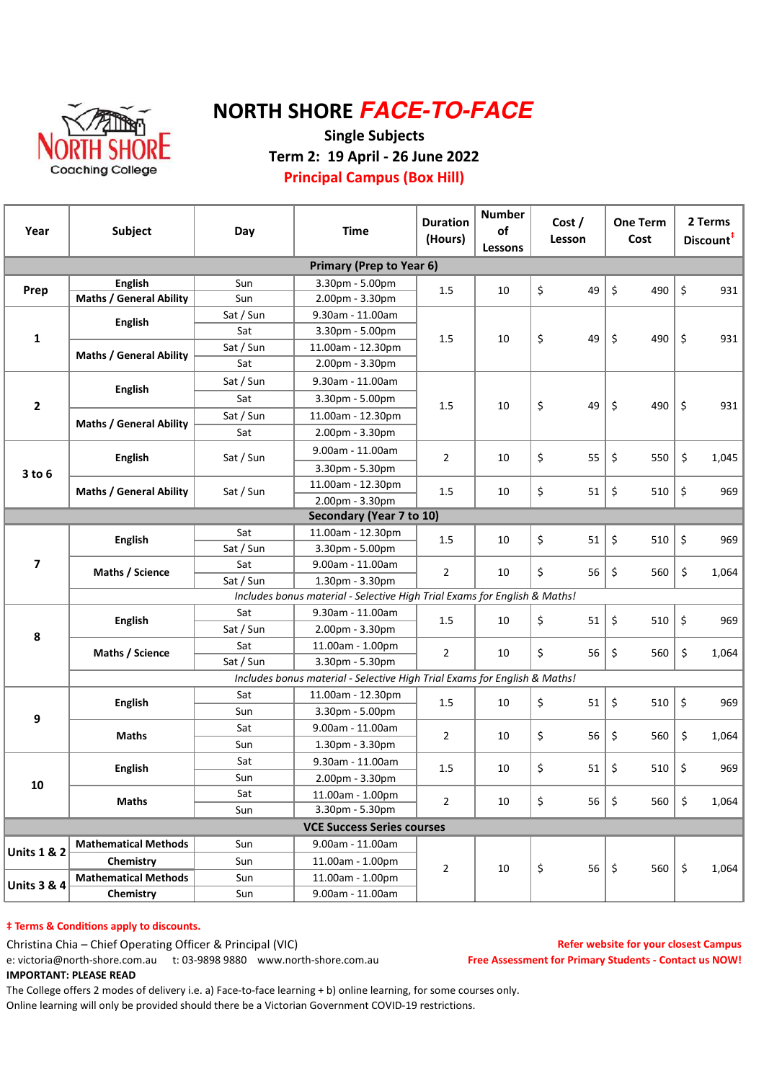

# NORTH SHORE **FACE-TO-FACE**

### Single Subjects Term 2: 19 April - 26 June 2022 Principal Campus (Box Hill)

| Year                            | Subject                                                                                                                                                                                                                                                                                                                                                                                                                                                                                                                                                                                                                                                                                                                                                                                                                                                                                                                                                                                                                                                                                                                                                                                                                                                                                                                                                                                                                                                                                                                                                                      | Day             | <b>Time</b>       | <b>Number</b><br><b>Duration</b><br>of<br>(Hours)<br>Lessons                                                                                                                                                                                                                                                      |  | Cost /<br>Lesson | <b>One Term</b><br>Cost | 2 Terms<br>Discount <sup>#</sup>                                                                       |  |
|---------------------------------|------------------------------------------------------------------------------------------------------------------------------------------------------------------------------------------------------------------------------------------------------------------------------------------------------------------------------------------------------------------------------------------------------------------------------------------------------------------------------------------------------------------------------------------------------------------------------------------------------------------------------------------------------------------------------------------------------------------------------------------------------------------------------------------------------------------------------------------------------------------------------------------------------------------------------------------------------------------------------------------------------------------------------------------------------------------------------------------------------------------------------------------------------------------------------------------------------------------------------------------------------------------------------------------------------------------------------------------------------------------------------------------------------------------------------------------------------------------------------------------------------------------------------------------------------------------------------|-----------------|-------------------|-------------------------------------------------------------------------------------------------------------------------------------------------------------------------------------------------------------------------------------------------------------------------------------------------------------------|--|------------------|-------------------------|--------------------------------------------------------------------------------------------------------|--|
| <b>Primary (Prep to Year 6)</b> |                                                                                                                                                                                                                                                                                                                                                                                                                                                                                                                                                                                                                                                                                                                                                                                                                                                                                                                                                                                                                                                                                                                                                                                                                                                                                                                                                                                                                                                                                                                                                                              |                 |                   |                                                                                                                                                                                                                                                                                                                   |  |                  |                         |                                                                                                        |  |
| Prep                            | <b>English</b>                                                                                                                                                                                                                                                                                                                                                                                                                                                                                                                                                                                                                                                                                                                                                                                                                                                                                                                                                                                                                                                                                                                                                                                                                                                                                                                                                                                                                                                                                                                                                               | Sun             | 3.30pm - 5.00pm   |                                                                                                                                                                                                                                                                                                                   |  |                  | \$<br>490               | $\zeta$<br>931                                                                                         |  |
|                                 | <b>Maths / General Ability</b>                                                                                                                                                                                                                                                                                                                                                                                                                                                                                                                                                                                                                                                                                                                                                                                                                                                                                                                                                                                                                                                                                                                                                                                                                                                                                                                                                                                                                                                                                                                                               | Sun             | 2.00pm - 3.30pm   |                                                                                                                                                                                                                                                                                                                   |  |                  |                         |                                                                                                        |  |
|                                 |                                                                                                                                                                                                                                                                                                                                                                                                                                                                                                                                                                                                                                                                                                                                                                                                                                                                                                                                                                                                                                                                                                                                                                                                                                                                                                                                                                                                                                                                                                                                                                              | Sat / Sun       | 9.30am - 11.00am  |                                                                                                                                                                                                                                                                                                                   |  |                  |                         |                                                                                                        |  |
| $\mathbf{1}$                    |                                                                                                                                                                                                                                                                                                                                                                                                                                                                                                                                                                                                                                                                                                                                                                                                                                                                                                                                                                                                                                                                                                                                                                                                                                                                                                                                                                                                                                                                                                                                                                              | Sat             | 3.30pm - 5.00pm   |                                                                                                                                                                                                                                                                                                                   |  |                  |                         | 931                                                                                                    |  |
|                                 |                                                                                                                                                                                                                                                                                                                                                                                                                                                                                                                                                                                                                                                                                                                                                                                                                                                                                                                                                                                                                                                                                                                                                                                                                                                                                                                                                                                                                                                                                                                                                                              | Sat / Sun       | 11.00am - 12.30pm |                                                                                                                                                                                                                                                                                                                   |  |                  |                         |                                                                                                        |  |
|                                 |                                                                                                                                                                                                                                                                                                                                                                                                                                                                                                                                                                                                                                                                                                                                                                                                                                                                                                                                                                                                                                                                                                                                                                                                                                                                                                                                                                                                                                                                                                                                                                              | Sat             | 2.00pm - 3.30pm   | \$<br>\$<br>\$<br>490<br>1.5<br>10<br>49<br>\$<br>\$<br>\$<br>490<br>931<br>1.5<br>10<br>49<br>\$<br>\$<br>\$<br>550<br>$\overline{2}$<br>55<br>1,045<br>10<br>\$<br>\$<br>\$<br>51<br>1.5<br>10<br>510<br>\$<br>\$<br>1.5<br>51<br>510<br>\$<br>969<br>10<br>\$<br>\$<br>\$<br>$\overline{2}$<br>10<br>56<br>560 |  |                  |                         |                                                                                                        |  |
|                                 | \$<br>1.5<br>10<br>49<br><b>English</b><br><b>Maths / General Ability</b><br>Sat / Sun<br>9.30am - 11.00am<br><b>English</b><br>Sat<br>3.30pm - 5.00pm<br>Sat / Sun<br>11.00am - 12.30pm<br><b>Maths / General Ability</b><br>Sat<br>2.00pm - 3.30pm<br>9.00am - 11.00am<br><b>English</b><br>Sat / Sun<br>3.30pm - 5.30pm<br>11.00am - 12.30pm<br><b>Maths / General Ability</b><br>Sat / Sun<br>2.00pm - 3.30pm<br>Secondary (Year 7 to 10)<br>Sat<br>11.00am - 12.30pm<br><b>English</b><br>Sat / Sun<br>3.30pm - 5.00pm<br>9.00am - 11.00am<br>Sat<br>Maths / Science<br>Sat / Sun<br>1.30pm - 3.30pm<br>Includes bonus material - Selective High Trial Exams for English & Maths!<br>Sat<br>9.30am - 11.00am<br>\$<br>51<br><b>English</b><br>1.5<br>10<br>Sat / Sun<br>2.00pm - 3.30pm<br>Sat<br>11.00am - 1.00pm<br>\$<br>$\overline{2}$<br>Maths / Science<br>10<br>56<br>Sat / Sun<br>3.30pm - 5.30pm<br>Includes bonus material - Selective High Trial Exams for English & Maths!<br>Sat<br>11.00am - 12.30pm<br>\$<br>51<br><b>English</b><br>1.5<br>10<br>3.30pm - 5.00pm<br>Sun<br>9.00am - 11.00am<br>Sat<br>\$<br>$\overline{2}$<br>56<br>Maths<br>10<br>Sun<br>1.30pm - 3.30pm<br>Sat<br>9.30am - 11.00am<br>\$<br>51<br><b>English</b><br>10<br>1.5<br>Sun<br>2.00pm - 3.30pm<br>Sat<br>11.00am - 1.00pm<br>\$<br><b>Maths</b><br>$\overline{2}$<br>10<br>3.30pm - 5.30pm<br>Sun<br><b>VCE Success Series courses</b><br><b>Mathematical Methods</b><br>9.00am - 11.00am<br>Sun<br>Chemistry<br>Sun<br>11.00am - 1.00pm<br>\$<br>$\overline{2}$<br>56<br>10 |                 |                   |                                                                                                                                                                                                                                                                                                                   |  |                  |                         |                                                                                                        |  |
| $\mathbf{2}$                    |                                                                                                                                                                                                                                                                                                                                                                                                                                                                                                                                                                                                                                                                                                                                                                                                                                                                                                                                                                                                                                                                                                                                                                                                                                                                                                                                                                                                                                                                                                                                                                              |                 |                   |                                                                                                                                                                                                                                                                                                                   |  |                  |                         |                                                                                                        |  |
|                                 |                                                                                                                                                                                                                                                                                                                                                                                                                                                                                                                                                                                                                                                                                                                                                                                                                                                                                                                                                                                                                                                                                                                                                                                                                                                                                                                                                                                                                                                                                                                                                                              |                 |                   |                                                                                                                                                                                                                                                                                                                   |  |                  |                         |                                                                                                        |  |
|                                 |                                                                                                                                                                                                                                                                                                                                                                                                                                                                                                                                                                                                                                                                                                                                                                                                                                                                                                                                                                                                                                                                                                                                                                                                                                                                                                                                                                                                                                                                                                                                                                              |                 |                   |                                                                                                                                                                                                                                                                                                                   |  |                  |                         |                                                                                                        |  |
|                                 |                                                                                                                                                                                                                                                                                                                                                                                                                                                                                                                                                                                                                                                                                                                                                                                                                                                                                                                                                                                                                                                                                                                                                                                                                                                                                                                                                                                                                                                                                                                                                                              |                 |                   |                                                                                                                                                                                                                                                                                                                   |  |                  |                         |                                                                                                        |  |
|                                 |                                                                                                                                                                                                                                                                                                                                                                                                                                                                                                                                                                                                                                                                                                                                                                                                                                                                                                                                                                                                                                                                                                                                                                                                                                                                                                                                                                                                                                                                                                                                                                              |                 |                   |                                                                                                                                                                                                                                                                                                                   |  |                  |                         |                                                                                                        |  |
| $3$ to $6$                      |                                                                                                                                                                                                                                                                                                                                                                                                                                                                                                                                                                                                                                                                                                                                                                                                                                                                                                                                                                                                                                                                                                                                                                                                                                                                                                                                                                                                                                                                                                                                                                              |                 |                   |                                                                                                                                                                                                                                                                                                                   |  |                  |                         |                                                                                                        |  |
|                                 |                                                                                                                                                                                                                                                                                                                                                                                                                                                                                                                                                                                                                                                                                                                                                                                                                                                                                                                                                                                                                                                                                                                                                                                                                                                                                                                                                                                                                                                                                                                                                                              |                 |                   |                                                                                                                                                                                                                                                                                                                   |  |                  |                         | 969                                                                                                    |  |
|                                 |                                                                                                                                                                                                                                                                                                                                                                                                                                                                                                                                                                                                                                                                                                                                                                                                                                                                                                                                                                                                                                                                                                                                                                                                                                                                                                                                                                                                                                                                                                                                                                              |                 |                   |                                                                                                                                                                                                                                                                                                                   |  |                  |                         |                                                                                                        |  |
|                                 |                                                                                                                                                                                                                                                                                                                                                                                                                                                                                                                                                                                                                                                                                                                                                                                                                                                                                                                                                                                                                                                                                                                                                                                                                                                                                                                                                                                                                                                                                                                                                                              |                 |                   |                                                                                                                                                                                                                                                                                                                   |  |                  |                         |                                                                                                        |  |
|                                 |                                                                                                                                                                                                                                                                                                                                                                                                                                                                                                                                                                                                                                                                                                                                                                                                                                                                                                                                                                                                                                                                                                                                                                                                                                                                                                                                                                                                                                                                                                                                                                              |                 |                   |                                                                                                                                                                                                                                                                                                                   |  |                  |                         |                                                                                                        |  |
| $\overline{\mathbf{z}}$         |                                                                                                                                                                                                                                                                                                                                                                                                                                                                                                                                                                                                                                                                                                                                                                                                                                                                                                                                                                                                                                                                                                                                                                                                                                                                                                                                                                                                                                                                                                                                                                              |                 |                   |                                                                                                                                                                                                                                                                                                                   |  |                  |                         |                                                                                                        |  |
|                                 |                                                                                                                                                                                                                                                                                                                                                                                                                                                                                                                                                                                                                                                                                                                                                                                                                                                                                                                                                                                                                                                                                                                                                                                                                                                                                                                                                                                                                                                                                                                                                                              |                 |                   |                                                                                                                                                                                                                                                                                                                   |  |                  |                         |                                                                                                        |  |
|                                 |                                                                                                                                                                                                                                                                                                                                                                                                                                                                                                                                                                                                                                                                                                                                                                                                                                                                                                                                                                                                                                                                                                                                                                                                                                                                                                                                                                                                                                                                                                                                                                              |                 |                   |                                                                                                                                                                                                                                                                                                                   |  |                  |                         |                                                                                                        |  |
|                                 |                                                                                                                                                                                                                                                                                                                                                                                                                                                                                                                                                                                                                                                                                                                                                                                                                                                                                                                                                                                                                                                                                                                                                                                                                                                                                                                                                                                                                                                                                                                                                                              |                 |                   |                                                                                                                                                                                                                                                                                                                   |  |                  | \$                      |                                                                                                        |  |
|                                 |                                                                                                                                                                                                                                                                                                                                                                                                                                                                                                                                                                                                                                                                                                                                                                                                                                                                                                                                                                                                                                                                                                                                                                                                                                                                                                                                                                                                                                                                                                                                                                              |                 |                   |                                                                                                                                                                                                                                                                                                                   |  |                  |                         |                                                                                                        |  |
| 8                               |                                                                                                                                                                                                                                                                                                                                                                                                                                                                                                                                                                                                                                                                                                                                                                                                                                                                                                                                                                                                                                                                                                                                                                                                                                                                                                                                                                                                                                                                                                                                                                              |                 |                   |                                                                                                                                                                                                                                                                                                                   |  |                  | \$                      |                                                                                                        |  |
|                                 |                                                                                                                                                                                                                                                                                                                                                                                                                                                                                                                                                                                                                                                                                                                                                                                                                                                                                                                                                                                                                                                                                                                                                                                                                                                                                                                                                                                                                                                                                                                                                                              |                 |                   |                                                                                                                                                                                                                                                                                                                   |  |                  |                         |                                                                                                        |  |
|                                 |                                                                                                                                                                                                                                                                                                                                                                                                                                                                                                                                                                                                                                                                                                                                                                                                                                                                                                                                                                                                                                                                                                                                                                                                                                                                                                                                                                                                                                                                                                                                                                              |                 |                   |                                                                                                                                                                                                                                                                                                                   |  |                  |                         |                                                                                                        |  |
|                                 |                                                                                                                                                                                                                                                                                                                                                                                                                                                                                                                                                                                                                                                                                                                                                                                                                                                                                                                                                                                                                                                                                                                                                                                                                                                                                                                                                                                                                                                                                                                                                                              |                 |                   |                                                                                                                                                                                                                                                                                                                   |  |                  | \$                      |                                                                                                        |  |
| 9                               |                                                                                                                                                                                                                                                                                                                                                                                                                                                                                                                                                                                                                                                                                                                                                                                                                                                                                                                                                                                                                                                                                                                                                                                                                                                                                                                                                                                                                                                                                                                                                                              |                 |                   |                                                                                                                                                                                                                                                                                                                   |  |                  |                         |                                                                                                        |  |
|                                 |                                                                                                                                                                                                                                                                                                                                                                                                                                                                                                                                                                                                                                                                                                                                                                                                                                                                                                                                                                                                                                                                                                                                                                                                                                                                                                                                                                                                                                                                                                                                                                              |                 |                   |                                                                                                                                                                                                                                                                                                                   |  |                  | \$<br>560               |                                                                                                        |  |
|                                 |                                                                                                                                                                                                                                                                                                                                                                                                                                                                                                                                                                                                                                                                                                                                                                                                                                                                                                                                                                                                                                                                                                                                                                                                                                                                                                                                                                                                                                                                                                                                                                              |                 |                   |                                                                                                                                                                                                                                                                                                                   |  |                  |                         | 1,064<br>\$<br>510<br>969<br>560<br>\$<br>1,064<br>\$<br>510<br>969<br>\$<br>1,064<br>\$<br>969<br>510 |  |
|                                 |                                                                                                                                                                                                                                                                                                                                                                                                                                                                                                                                                                                                                                                                                                                                                                                                                                                                                                                                                                                                                                                                                                                                                                                                                                                                                                                                                                                                                                                                                                                                                                              |                 |                   |                                                                                                                                                                                                                                                                                                                   |  |                  | \$                      |                                                                                                        |  |
| 10                              |                                                                                                                                                                                                                                                                                                                                                                                                                                                                                                                                                                                                                                                                                                                                                                                                                                                                                                                                                                                                                                                                                                                                                                                                                                                                                                                                                                                                                                                                                                                                                                              |                 |                   |                                                                                                                                                                                                                                                                                                                   |  |                  |                         |                                                                                                        |  |
|                                 |                                                                                                                                                                                                                                                                                                                                                                                                                                                                                                                                                                                                                                                                                                                                                                                                                                                                                                                                                                                                                                                                                                                                                                                                                                                                                                                                                                                                                                                                                                                                                                              |                 |                   |                                                                                                                                                                                                                                                                                                                   |  |                  |                         | \$<br>1,064                                                                                            |  |
|                                 |                                                                                                                                                                                                                                                                                                                                                                                                                                                                                                                                                                                                                                                                                                                                                                                                                                                                                                                                                                                                                                                                                                                                                                                                                                                                                                                                                                                                                                                                                                                                                                              | 56<br>\$<br>560 |                   |                                                                                                                                                                                                                                                                                                                   |  |                  |                         |                                                                                                        |  |
|                                 |                                                                                                                                                                                                                                                                                                                                                                                                                                                                                                                                                                                                                                                                                                                                                                                                                                                                                                                                                                                                                                                                                                                                                                                                                                                                                                                                                                                                                                                                                                                                                                              |                 |                   |                                                                                                                                                                                                                                                                                                                   |  |                  |                         |                                                                                                        |  |
| <b>Units 1 &amp; 2</b>          |                                                                                                                                                                                                                                                                                                                                                                                                                                                                                                                                                                                                                                                                                                                                                                                                                                                                                                                                                                                                                                                                                                                                                                                                                                                                                                                                                                                                                                                                                                                                                                              |                 |                   |                                                                                                                                                                                                                                                                                                                   |  |                  |                         |                                                                                                        |  |
|                                 |                                                                                                                                                                                                                                                                                                                                                                                                                                                                                                                                                                                                                                                                                                                                                                                                                                                                                                                                                                                                                                                                                                                                                                                                                                                                                                                                                                                                                                                                                                                                                                              |                 |                   |                                                                                                                                                                                                                                                                                                                   |  |                  | $\zeta$<br>560          | \$<br>1,064                                                                                            |  |
| <b>Units 3 &amp; 4</b>          | <b>Mathematical Methods</b>                                                                                                                                                                                                                                                                                                                                                                                                                                                                                                                                                                                                                                                                                                                                                                                                                                                                                                                                                                                                                                                                                                                                                                                                                                                                                                                                                                                                                                                                                                                                                  | Sun             | 11.00am - 1.00pm  |                                                                                                                                                                                                                                                                                                                   |  |                  |                         |                                                                                                        |  |
|                                 | Chemistry                                                                                                                                                                                                                                                                                                                                                                                                                                                                                                                                                                                                                                                                                                                                                                                                                                                                                                                                                                                                                                                                                                                                                                                                                                                                                                                                                                                                                                                                                                                                                                    | $Sun_$          | 9.00am - 11.00am  |                                                                                                                                                                                                                                                                                                                   |  |                  |                         |                                                                                                        |  |

### $‡$  Terms & Conditions apply to discounts.

Christina Chia – Chief Operating Officer & Principal (VIC)

e: victoria@north-shore.com.au t: 03-9898 9880 www.north-shore.com.au IMPORTANT: PLEASE READ

Refer website for your closest Campus Free Assessment for Primary Students - Contact us NOW!

The College offers 2 modes of delivery i.e. a) Face-to-face learning + b) online learning, for some courses only. Online learning will only be provided should there be a Victorian Government COVID-19 restrictions.